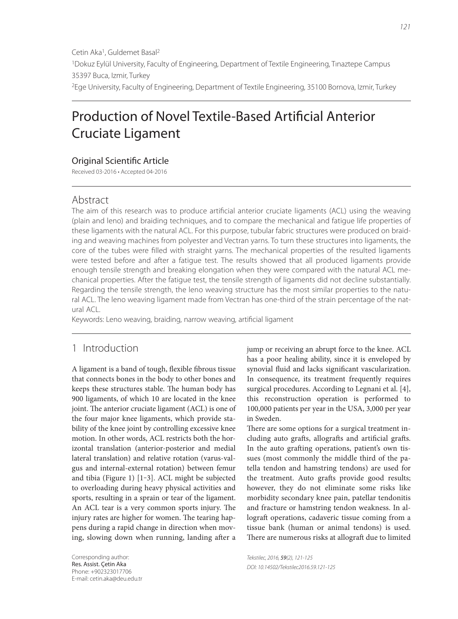# Production of Novel Textile-Based Artificial Anterior Cruciate Ligament

## **Original Scientific Article**

Received 03-2016 • Accepted 04-2016

## Abstract

The aim of this research was to produce artificial anterior cruciate ligaments (ACL) using the weaving (plain and leno) and braiding techniques, and to compare the mechanical and fatigue life properties of these ligaments with the natural ACL. For this purpose, tubular fabric structures were produced on braiding and weaving machines from polyester and Vectran yarns. To turn these structures into ligaments, the core of the tubes were filled with straight yarns. The mechanical properties of the resulted ligaments were tested before and after a fatigue test. The results showed that all produced ligaments provide enough tensile strength and breaking elongation when they were compared with the natural ACL mechanical properties. After the fatigue test, the tensile strength of ligaments did not decline substantially. Regarding the tensile strength, the leno weaving structure has the most similar properties to the natural ACL. The leno weaving ligament made from Vectran has one-third of the strain percentage of the natural ACL.

Keywords: Leno weaving, braiding, narrow weaving, artificial ligament

# 1 Introduction

A ligament is a band of tough, flexible fibrous tissue that connects bones in the body to other bones and keeps these structures stable. The human body has 900 ligaments, of which 10 are located in the knee joint. The anterior cruciate ligament (ACL) is one of the four major knee ligaments, which provide stability of the knee joint by controlling excessive knee motion. In other words, ACL restricts both the horizontal translation (anterior-posterior and medial lateral translation) and relative rotation (varus-valgus and internal-external rotation) between femur and tibia (Figure 1) [1‒3]. ACL might be subjected to overloading during heavy physical activities and sports, resulting in a sprain or tear of the ligament. An ACL tear is a very common sports injury. The injury rates are higher for women. The tearing happens during a rapid change in direction when moving, slowing down when running, landing after a

Corresponding author: Res. Assist. Çetin Aka Phone: +902323017706 E-mail: cetin.aka@deu.edu.tr jump or receiving an abrupt force to the knee. ACL has a poor healing ability, since it is enveloped by synovial fluid and lacks significant vascularization. In consequence, its treatment frequently requires surgical procedures. According to Legnani et al. [4], this reconstruction operation is performed to 100,000 patients per year in the USA, 3,000 per year in Sweden.

There are some options for a surgical treatment including auto grafts, allografts and artificial grafts. In the auto grafting operations, patient's own tissues (most commonly the middle third of the patella tendon and hamstring tendons) are used for the treatment. Auto grafts provide good results; however, they do not eliminate some risks like morbidity secondary knee pain, patellar tendonitis and fracture or hamstring tendon weakness. In allograft operations, cadaveric tissue coming from a tissue bank (human or animal tendons) is used. There are numerous risks at allograft due to limited

Tekstilec, 2016, 59(2), 121-125 DOI: 10.14502/Tekstilec2016.59.121-125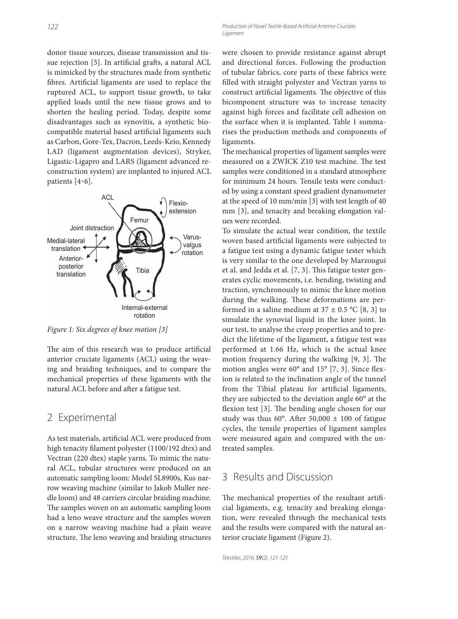Production of Novel Textile-Based Artificial Anterior Cruciate Ligament

donor tissue sources, disease transmission and tissue rejection [5]. In artificial grafts, a natural ACL is mimicked by the structures made from synthetic fibres. Artificial ligaments are used to replace the ruptured ACL, to support tissue growth, to take applied loads until the new tissue grows and to shorten the healing period. Today, despite some disadvantages such as synovitis, a synthetic biocompatible material based artificial ligaments such as Carbon, Gore-Tex, Dacron, Leeds-Keio, Kennedy LAD (ligament augmentation devices), Stryker, Ligastic-Ligapro and LARS (ligament advanced reconstruction system) are implanted to injured ACL patients [4–6].



Figure 1: Six degrees of knee motion [3]

The aim of this research was to produce artificial anterior cruciate ligaments (ACL) using the weaving and braiding techniques, and to compare the mechanical properties of these ligaments with the natural ACL before and after a fatigue test.

#### 2 Experimental

As test materials, artificial ACL were produced from high tenacity filament polyester (1100/192 dtex) and Vectran (220 dtex) staple yarns. To mimic the natural ACL, tubular structures were produced on an automatic sampling loom: Model SL8900s, Kus narrow weaving machine (similar to Jakob Muller needle loom) and 48 carriers circular braiding machine. The samples woven on an automatic sampling loom had a leno weave structure and the samples woven on a narrow weaving machine had a plain weave structure. The leno weaving and braiding structures were chosen to provide resistance against abrupt and directional forces. Following the production of tubular fabrics, core parts of these fabrics were filled with straight polyester and Vectran yarns to construct artificial ligaments. The objective of this bicomponent structure was to increase tenacity against high forces and facilitate cell adhesion on the surface when it is implanted. Table 1 summarises the production methods and components of ligaments.

The mechanical properties of ligament samples were measured on a ZWICK Z10 test machine. The test samples were conditioned in a standard atmosphere for minimum 24 hours. Tensile tests were conducted by using a constant speed gradient dynamometer at the speed of 10 mm/min [3] with test length of 40 mm [3], and tenacity and breaking elongation values were recorded.

To simulate the actual wear condition, the textile woven based artificial ligaments were subjected to a fatigue test using a dynamic fatigue tester which is very similar to the one developed by Marzougui et al. and Jedda et al. [7, 3]. This fatigue tester generates cyclic movements, i.e. bending, twisting and traction, synchronously to mimic the knee motion during the walking. These deformations are performed in a saline medium at  $37 \pm 0.5$  °C [8, 3] to simulate the synovial liquid in the knee joint. In our test, to analyse the creep properties and to predict the lifetime of the ligament, a fatigue test was performed at 1.66 Hz, which is the actual knee motion frequency during the walking  $[9, 3]$ . The motion angles were  $60^{\circ}$  and  $15^{\circ}$  [7, 3]. Since flexion is related to the inclination angle of the tunnel from the Tibial plateau for artificial ligaments, they are subjected to the deviation angle 60° at the flexion test [3]. The bending angle chosen for our study was thus 60°. After 50,000  $\pm$  100 of fatigue cycles, the tensile properties of ligament samples were measured again and compared with the untreated samples.

## 3 Results and Discussion

The mechanical properties of the resultant artificial ligaments, e.g. tenacity and breaking elongation, were revealed through the mechanical tests and the results were compared with the natural anterior cruciate ligament (Figure 2).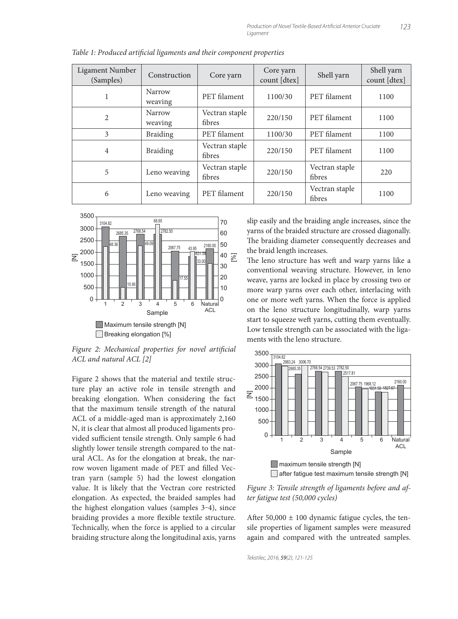| Ligament Number<br>(Samples) | Construction      | Core yarn                | Core yarn<br>count [dtex] | Shell yarn               | Shell yarn<br>count [dtex] |
|------------------------------|-------------------|--------------------------|---------------------------|--------------------------|----------------------------|
| 1                            | Narrow<br>weaving | PET filament             | 1100/30                   | PET filament             | 1100                       |
| 2                            | Narrow<br>weaving | Vectran staple<br>fibres | 220/150                   | PET filament             | 1100                       |
| 3                            | <b>Braiding</b>   | PET filament             | 1100/30                   | PET filament             | 1100                       |
| 4                            | <b>Braiding</b>   | Vectran staple<br>fibres | 220/150                   | PET filament             | 1100                       |
| 5                            | Leno weaving      | Vectran staple<br>fibres | 220/150                   | Vectran staple<br>fibres | 220                        |
| 6                            | Leno weaving      | PET filament             | 220/150                   | Vectran staple<br>fibres | 1100                       |

Table 1: Produced artificial ligaments and their component properties



Figure 2: Mechanical properties for novel artificial ACL and natural ACL [2]

Figure 2 shows that the material and textile structure play an active role in tensile strength and breaking elongation. When considering the fact that the maximum tensile strength of the natural ACL of a middle-aged man is approximately 2,160 N, it is clear that almost all produced ligaments provided sufficient tensile strength. Only sample 6 had slightly lower tensile strength compared to the natural ACL. As for the elongation at break, the narrow woven ligament made of PET and filled Vectran yarn (sample 5) had the lowest elongation value. It is likely that the Vectran core restricted elongation. As expected, the braided samples had the highest elongation values (samples 3-4), since braiding provides a more flexible textile structure. Technically, when the force is applied to a circular braiding structure along the longitudinal axis, yarns slip easily and the braiding angle increases, since the yarns of the braided structure are crossed diagonally. The braiding diameter consequently decreases and the braid length increases.

The leno structure has weft and warp yarns like a conventional weaving structure. However, in leno weave, yarns are locked in place by crossing two or more warp yarns over each other, interlacing with one or more weft yarns. When the force is applied on the leno structure longitudinally, warp yarns start to squeeze weft yarns, cutting them eventually. Low tensile strength can be associated with the ligaments with the leno structure.



Figure 3: Tensile strength of ligaments before and after fatigue test (50,000 cycles)

After  $50,000 \pm 100$  dynamic fatigue cycles, the tensile properties of ligament samples were measured again and compared with the untreated samples.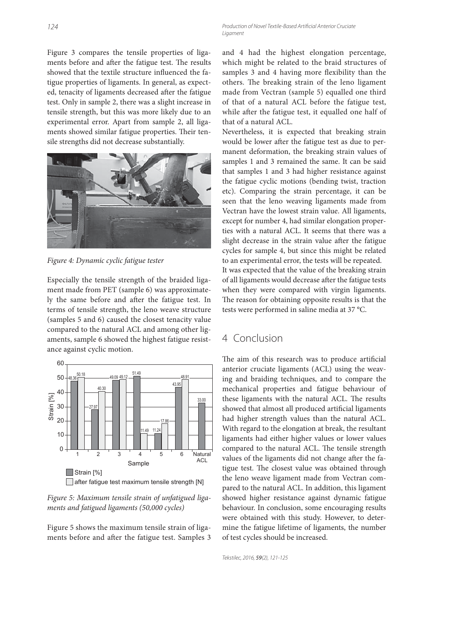Figure 3 compares the tensile properties of ligaments before and after the fatigue test. The results showed that the textile structure influenced the fatigue properties of ligaments. In general, as expected, tenacity of ligaments decreased after the fatigue test. Only in sample 2, there was a slight increase in tensile strength, but this was more likely due to an experimental error. Apart from sample 2, all ligaments showed similar fatigue properties. Their tensile strengths did not decrease substantially.



Figure 4: Dynamic cyclic fatigue tester

Especially the tensile strength of the braided ligament made from PET (sample 6) was approximately the same before and after the fatigue test. In terms of tensile strength, the leno weave structure (samples 5 and 6) caused the closest tenacity value compared to the natural ACL and among other ligaments, sample 6 showed the highest fatigue resistance against cyclic motion.



Figure 5: Maximum tensile strain of unfatigued ligaments and fatigued ligaments (50,000 cycles)

Figure 5 shows the maximum tensile strain of ligaments before and after the fatigue test. Samples 3 and 4 had the highest elongation percentage, which might be related to the braid structures of samples 3 and 4 having more flexibility than the others. The breaking strain of the leno ligament made from Vectran (sample 5) equalled one third of that of a natural ACL before the fatigue test, while after the fatigue test, it equalled one half of that of a natural ACL.

Nevertheless, it is expected that breaking strain would be lower after the fatigue test as due to permanent deformation, the breaking strain values of samples 1 and 3 remained the same. It can be said that samples 1 and 3 had higher resistance against the fatigue cyclic motions (bending twist, traction etc). Comparing the strain percentage, it can be seen that the leno weaving ligaments made from Vectran have the lowest strain value. All ligaments, except for number 4, had similar elongation properties with a natural ACL. It seems that there was a slight decrease in the strain value after the fatigue cycles for sample 4, but since this might be related to an experimental error, the tests will be repeated. It was expected that the value of the breaking strain of all ligaments would decrease after the fatigue tests when they were compared with virgin ligaments. The reason for obtaining opposite results is that the tests were performed in saline media at 37 °C.

## 4 Conclusion

The aim of this research was to produce artificial anterior cruciate ligaments (ACL) using the weaving and braiding techniques, and to compare the mechanical properties and fatigue behaviour of these ligaments with the natural ACL. The results showed that almost all produced artificial ligaments had higher strength values than the natural ACL. With regard to the elongation at break, the resultant ligaments had either higher values or lower values compared to the natural ACL. The tensile strength values of the ligaments did not change after the fatigue test. The closest value was obtained through the leno weave ligament made from Vectran compared to the natural ACL. In addition, this ligament showed higher resistance against dynamic fatigue behaviour. In conclusion, some encouraging results were obtained with this study. However, to determine the fatigue lifetime of ligaments, the number of test cycles should be increased.